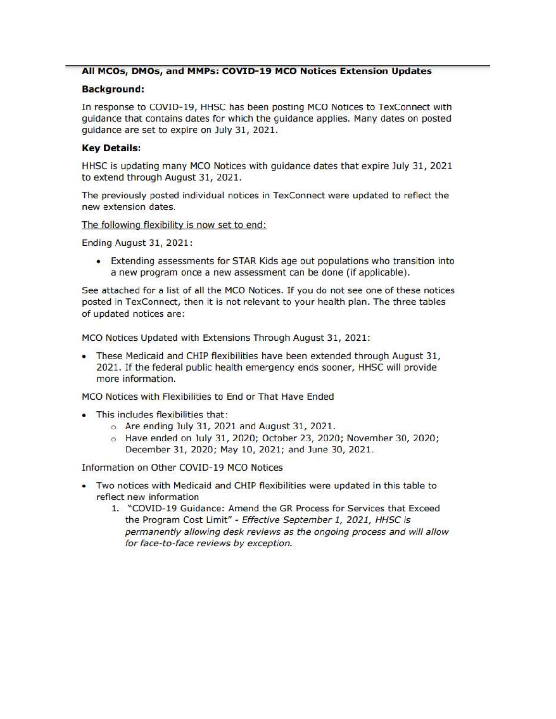### All MCOs, DMOs, and MMPs: COVID-19 MCO Notices Extension Updates

#### **Background:**

In response to COVID-19, HHSC has been posting MCO Notices to TexConnect with guidance that contains dates for which the guidance applies. Many dates on posted quidance are set to expire on July 31, 2021.

#### **Key Details:**

HHSC is updating many MCO Notices with guidance dates that expire July 31, 2021 to extend through August 31, 2021.

The previously posted individual notices in TexConnect were updated to reflect the new extension dates.

The following flexibility is now set to end:

Ending August 31, 2021:

• Extending assessments for STAR Kids age out populations who transition into a new program once a new assessment can be done (if applicable).

See attached for a list of all the MCO Notices. If you do not see one of these notices posted in TexConnect, then it is not relevant to your health plan. The three tables of updated notices are:

MCO Notices Updated with Extensions Through August 31, 2021:

. These Medicaid and CHIP flexibilities have been extended through August 31, 2021. If the federal public health emergency ends sooner, HHSC will provide more information.

MCO Notices with Flexibilities to End or That Have Ended

- . This includes flexibilities that:
	- o Are ending July 31, 2021 and August 31, 2021.
	- $\circ$  Have ended on July 31, 2020; October 23, 2020; November 30, 2020; December 31, 2020; May 10, 2021; and June 30, 2021.

Information on Other COVID-19 MCO Notices

- . Two notices with Medicaid and CHIP flexibilities were updated in this table to reflect new information
	- 1. "COVID-19 Guidance: Amend the GR Process for Services that Exceed the Program Cost Limit" - Effective September 1, 2021, HHSC is permanently allowing desk reviews as the ongoing process and will allow for face-to-face reviews by exception.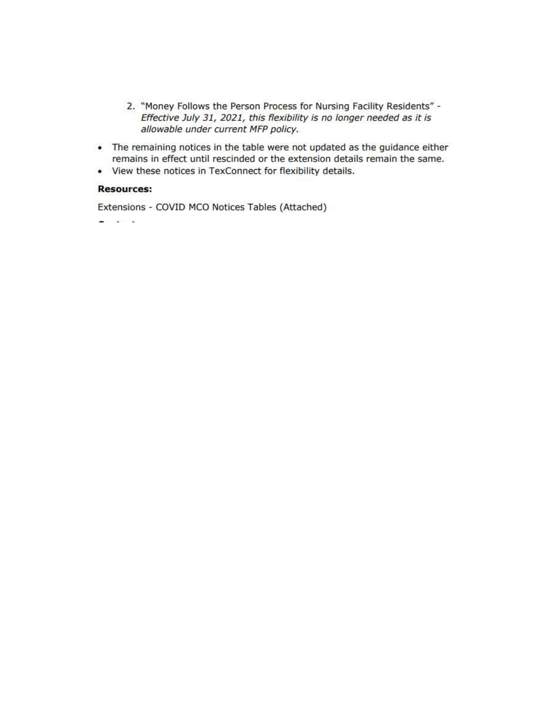- 2. "Money Follows the Person Process for Nursing Facility Residents" -Effective July 31, 2021, this flexibility is no longer needed as it is allowable under current MFP policy.
- The remaining notices in the table were not updated as the guidance either remains in effect until rescinded or the extension details remain the same.
- View these notices in TexConnect for flexibility details.

### **Resources:**

Extensions - COVID MCO Notices Tables (Attached)

**Controller State**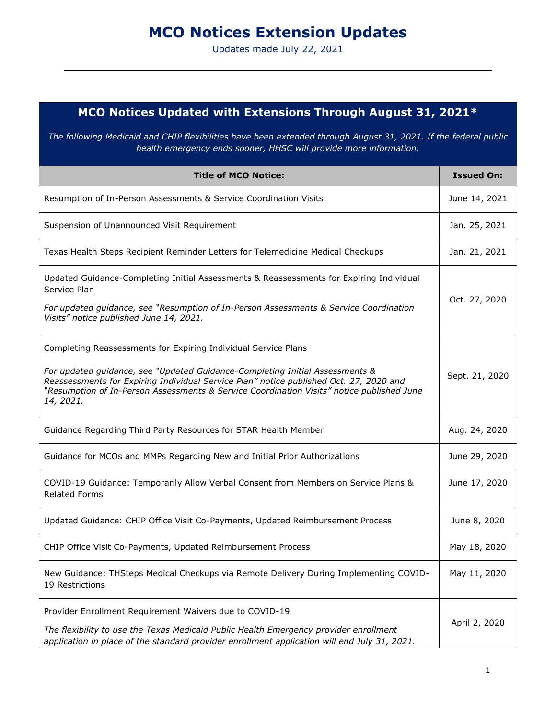# **MCO Notices Extension Updates**

Updates made July 22, 2021

## **MCO Notices Updated with Extensions Through August 31, 2021\***

*The following Medicaid and CHIP flexibilities have been extended through August 31, 2021. If the federal public health emergency ends sooner, HHSC will provide more information.*

| <b>Title of MCO Notice:</b>                                                                                                                                                                                                                                                                                                                        | <b>Issued On:</b> |
|----------------------------------------------------------------------------------------------------------------------------------------------------------------------------------------------------------------------------------------------------------------------------------------------------------------------------------------------------|-------------------|
| Resumption of In-Person Assessments & Service Coordination Visits                                                                                                                                                                                                                                                                                  | June 14, 2021     |
| Suspension of Unannounced Visit Requirement                                                                                                                                                                                                                                                                                                        | Jan. 25, 2021     |
| Texas Health Steps Recipient Reminder Letters for Telemedicine Medical Checkups                                                                                                                                                                                                                                                                    | Jan. 21, 2021     |
| Updated Guidance-Completing Initial Assessments & Reassessments for Expiring Individual<br>Service Plan<br>For updated guidance, see "Resumption of In-Person Assessments & Service Coordination<br>Visits" notice published June 14, 2021.                                                                                                        | Oct. 27, 2020     |
| Completing Reassessments for Expiring Individual Service Plans<br>For updated guidance, see "Updated Guidance-Completing Initial Assessments &<br>Reassessments for Expiring Individual Service Plan" notice published Oct. 27, 2020 and<br>"Resumption of In-Person Assessments & Service Coordination Visits" notice published June<br>14, 2021. | Sept. 21, 2020    |
| Guidance Regarding Third Party Resources for STAR Health Member                                                                                                                                                                                                                                                                                    | Aug. 24, 2020     |
| Guidance for MCOs and MMPs Regarding New and Initial Prior Authorizations                                                                                                                                                                                                                                                                          | June 29, 2020     |
| COVID-19 Guidance: Temporarily Allow Verbal Consent from Members on Service Plans &<br><b>Related Forms</b>                                                                                                                                                                                                                                        | June 17, 2020     |
| Updated Guidance: CHIP Office Visit Co-Payments, Updated Reimbursement Process                                                                                                                                                                                                                                                                     | June 8, 2020      |
| CHIP Office Visit Co-Payments, Updated Reimbursement Process                                                                                                                                                                                                                                                                                       | May 18, 2020      |
| New Guidance: THSteps Medical Checkups via Remote Delivery During Implementing COVID-<br>19 Restrictions                                                                                                                                                                                                                                           | May 11, 2020      |
| Provider Enrollment Requirement Waivers due to COVID-19<br>The flexibility to use the Texas Medicaid Public Health Emergency provider enrollment<br>application in place of the standard provider enrollment application will end July 31, 2021.                                                                                                   | April 2, 2020     |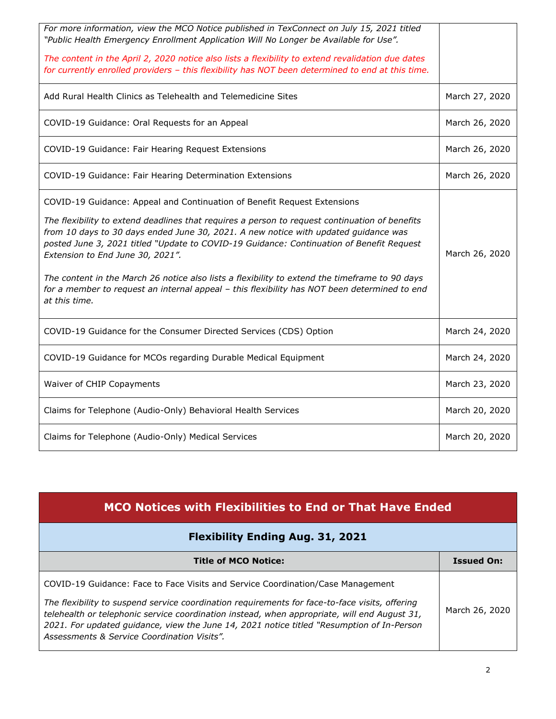| For more information, view the MCO Notice published in TexConnect on July 15, 2021 titled<br>"Public Health Emergency Enrollment Application Will No Longer be Available for Use".<br>The content in the April 2, 2020 notice also lists a flexibility to extend revalidation due dates                                                                                                                                                                                                                                                                                                                              |                |
|----------------------------------------------------------------------------------------------------------------------------------------------------------------------------------------------------------------------------------------------------------------------------------------------------------------------------------------------------------------------------------------------------------------------------------------------------------------------------------------------------------------------------------------------------------------------------------------------------------------------|----------------|
| for currently enrolled providers - this flexibility has NOT been determined to end at this time.                                                                                                                                                                                                                                                                                                                                                                                                                                                                                                                     |                |
| Add Rural Health Clinics as Telehealth and Telemedicine Sites                                                                                                                                                                                                                                                                                                                                                                                                                                                                                                                                                        | March 27, 2020 |
| COVID-19 Guidance: Oral Requests for an Appeal                                                                                                                                                                                                                                                                                                                                                                                                                                                                                                                                                                       | March 26, 2020 |
| COVID-19 Guidance: Fair Hearing Request Extensions                                                                                                                                                                                                                                                                                                                                                                                                                                                                                                                                                                   | March 26, 2020 |
| COVID-19 Guidance: Fair Hearing Determination Extensions                                                                                                                                                                                                                                                                                                                                                                                                                                                                                                                                                             | March 26, 2020 |
| COVID-19 Guidance: Appeal and Continuation of Benefit Request Extensions<br>The flexibility to extend deadlines that requires a person to request continuation of benefits<br>from 10 days to 30 days ended June 30, 2021. A new notice with updated guidance was<br>posted June 3, 2021 titled "Update to COVID-19 Guidance: Continuation of Benefit Request<br>Extension to End June 30, 2021".<br>The content in the March 26 notice also lists a flexibility to extend the timeframe to 90 days<br>for a member to request an internal appeal - this flexibility has NOT been determined to end<br>at this time. | March 26, 2020 |
| COVID-19 Guidance for the Consumer Directed Services (CDS) Option                                                                                                                                                                                                                                                                                                                                                                                                                                                                                                                                                    | March 24, 2020 |
| COVID-19 Guidance for MCOs regarding Durable Medical Equipment                                                                                                                                                                                                                                                                                                                                                                                                                                                                                                                                                       | March 24, 2020 |
| Waiver of CHIP Copayments                                                                                                                                                                                                                                                                                                                                                                                                                                                                                                                                                                                            | March 23, 2020 |
| Claims for Telephone (Audio-Only) Behavioral Health Services                                                                                                                                                                                                                                                                                                                                                                                                                                                                                                                                                         | March 20, 2020 |
| Claims for Telephone (Audio-Only) Medical Services                                                                                                                                                                                                                                                                                                                                                                                                                                                                                                                                                                   | March 20, 2020 |

| MCO Notices with Flexibilities to End or That Have Ended                                                                                                                                                                                                                                                                                                                                                                      |                   |
|-------------------------------------------------------------------------------------------------------------------------------------------------------------------------------------------------------------------------------------------------------------------------------------------------------------------------------------------------------------------------------------------------------------------------------|-------------------|
| <b>Flexibility Ending Aug. 31, 2021</b>                                                                                                                                                                                                                                                                                                                                                                                       |                   |
| <b>Title of MCO Notice:</b>                                                                                                                                                                                                                                                                                                                                                                                                   | <b>Issued On:</b> |
| COVID-19 Guidance: Face to Face Visits and Service Coordination/Case Management<br>The flexibility to suspend service coordination requirements for face-to-face visits, offering<br>telehealth or telephonic service coordination instead, when appropriate, will end August 31,<br>2021. For updated quidance, view the June 14, 2021 notice titled "Resumption of In-Person<br>Assessments & Service Coordination Visits". | March 26, 2020    |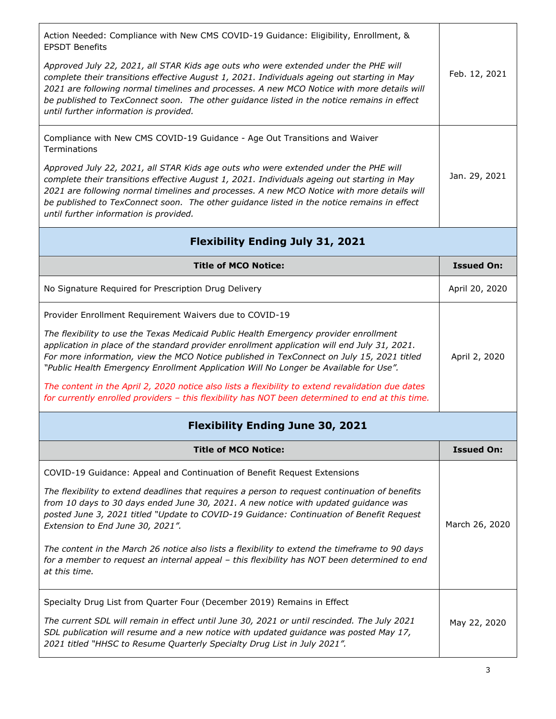| Action Needed: Compliance with New CMS COVID-19 Guidance: Eligibility, Enrollment, &<br><b>EPSDT Benefits</b>                                                                                                                                                                                                                                                                                                            |                   |
|--------------------------------------------------------------------------------------------------------------------------------------------------------------------------------------------------------------------------------------------------------------------------------------------------------------------------------------------------------------------------------------------------------------------------|-------------------|
| Approved July 22, 2021, all STAR Kids age outs who were extended under the PHE will<br>complete their transitions effective August 1, 2021. Individuals ageing out starting in May<br>2021 are following normal timelines and processes. A new MCO Notice with more details will<br>be published to TexConnect soon. The other guidance listed in the notice remains in effect<br>until further information is provided. | Feb. 12, 2021     |
| Compliance with New CMS COVID-19 Guidance - Age Out Transitions and Waiver<br>Terminations                                                                                                                                                                                                                                                                                                                               |                   |
| Approved July 22, 2021, all STAR Kids age outs who were extended under the PHE will<br>complete their transitions effective August 1, 2021. Individuals ageing out starting in May<br>2021 are following normal timelines and processes. A new MCO Notice with more details will<br>be published to TexConnect soon. The other guidance listed in the notice remains in effect<br>until further information is provided. | Jan. 29, 2021     |
| <b>Flexibility Ending July 31, 2021</b>                                                                                                                                                                                                                                                                                                                                                                                  |                   |
| <b>Title of MCO Notice:</b>                                                                                                                                                                                                                                                                                                                                                                                              | <b>Issued On:</b> |
| No Signature Required for Prescription Drug Delivery                                                                                                                                                                                                                                                                                                                                                                     | April 20, 2020    |
| Provider Enrollment Requirement Waivers due to COVID-19                                                                                                                                                                                                                                                                                                                                                                  |                   |
| The flexibility to use the Texas Medicaid Public Health Emergency provider enrollment<br>application in place of the standard provider enrollment application will end July 31, 2021.<br>For more information, view the MCO Notice published in TexConnect on July 15, 2021 titled<br>"Public Health Emergency Enrollment Application Will No Longer be Available for Use".                                              | April 2, 2020     |
| The content in the April 2, 2020 notice also lists a flexibility to extend revalidation due dates<br>for currently enrolled providers - this flexibility has NOT been determined to end at this time.                                                                                                                                                                                                                    |                   |
| <b>Flexibility Ending June 30, 2021</b>                                                                                                                                                                                                                                                                                                                                                                                  |                   |
| <b>Title of MCO Notice:</b>                                                                                                                                                                                                                                                                                                                                                                                              | <b>Issued On:</b> |
| COVID-19 Guidance: Appeal and Continuation of Benefit Request Extensions                                                                                                                                                                                                                                                                                                                                                 |                   |
| The flexibility to extend deadlines that requires a person to request continuation of benefits<br>from 10 days to 30 days ended June 30, 2021. A new notice with updated guidance was<br>posted June 3, 2021 titled "Update to COVID-19 Guidance: Continuation of Benefit Request<br>Extension to End June 30, 2021".                                                                                                    | March 26, 2020    |
| The content in the March 26 notice also lists a flexibility to extend the timeframe to 90 days<br>for a member to request an internal appeal - this flexibility has NOT been determined to end<br>at this time.                                                                                                                                                                                                          |                   |
| Specialty Drug List from Quarter Four (December 2019) Remains in Effect                                                                                                                                                                                                                                                                                                                                                  |                   |
| The current SDL will remain in effect until June 30, 2021 or until rescinded. The July 2021                                                                                                                                                                                                                                                                                                                              |                   |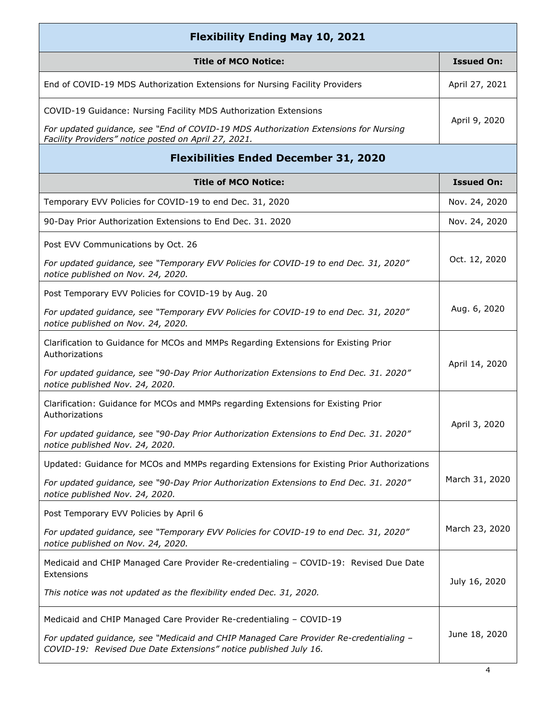| <b>Flexibility Ending May 10, 2021</b>                                                                                                                    |                   |
|-----------------------------------------------------------------------------------------------------------------------------------------------------------|-------------------|
| <b>Title of MCO Notice:</b>                                                                                                                               | <b>Issued On:</b> |
| End of COVID-19 MDS Authorization Extensions for Nursing Facility Providers                                                                               | April 27, 2021    |
| COVID-19 Guidance: Nursing Facility MDS Authorization Extensions                                                                                          |                   |
| For updated guidance, see "End of COVID-19 MDS Authorization Extensions for Nursing<br>Facility Providers" notice posted on April 27, 2021.               | April 9, 2020     |
| <b>Flexibilities Ended December 31, 2020</b>                                                                                                              |                   |
| <b>Title of MCO Notice:</b>                                                                                                                               | <b>Issued On:</b> |
| Temporary EVV Policies for COVID-19 to end Dec. 31, 2020                                                                                                  | Nov. 24, 2020     |
| 90-Day Prior Authorization Extensions to End Dec. 31. 2020                                                                                                | Nov. 24, 2020     |
| Post EVV Communications by Oct. 26                                                                                                                        |                   |
| For updated guidance, see "Temporary EVV Policies for COVID-19 to end Dec. 31, 2020"<br>notice published on Nov. 24, 2020.                                | Oct. 12, 2020     |
| Post Temporary EVV Policies for COVID-19 by Aug. 20                                                                                                       |                   |
| For updated guidance, see "Temporary EVV Policies for COVID-19 to end Dec. 31, 2020"<br>notice published on Nov. 24, 2020.                                | Aug. 6, 2020      |
| Clarification to Guidance for MCOs and MMPs Regarding Extensions for Existing Prior<br>Authorizations                                                     |                   |
| For updated guidance, see "90-Day Prior Authorization Extensions to End Dec. 31. 2020"<br>notice published Nov. 24, 2020.                                 | April 14, 2020    |
| Clarification: Guidance for MCOs and MMPs regarding Extensions for Existing Prior<br>Authorizations                                                       |                   |
| For updated guidance, see "90-Day Prior Authorization Extensions to End Dec. 31. 2020"<br>notice published Nov. 24, 2020.                                 | April 3, 2020     |
| Updated: Guidance for MCOs and MMPs regarding Extensions for Existing Prior Authorizations                                                                |                   |
| For updated guidance, see "90-Day Prior Authorization Extensions to End Dec. 31. 2020"<br>notice published Nov. 24, 2020.                                 | March 31, 2020    |
| Post Temporary EVV Policies by April 6                                                                                                                    |                   |
| For updated guidance, see "Temporary EVV Policies for COVID-19 to end Dec. 31, 2020"<br>notice published on Nov. 24, 2020.                                | March 23, 2020    |
| Medicaid and CHIP Managed Care Provider Re-credentialing - COVID-19: Revised Due Date<br>Extensions                                                       |                   |
| This notice was not updated as the flexibility ended Dec. 31, 2020.                                                                                       | July 16, 2020     |
| Medicaid and CHIP Managed Care Provider Re-credentialing - COVID-19                                                                                       |                   |
| For updated guidance, see "Medicaid and CHIP Managed Care Provider Re-credentialing -<br>COVID-19: Revised Due Date Extensions" notice published July 16. | June 18, 2020     |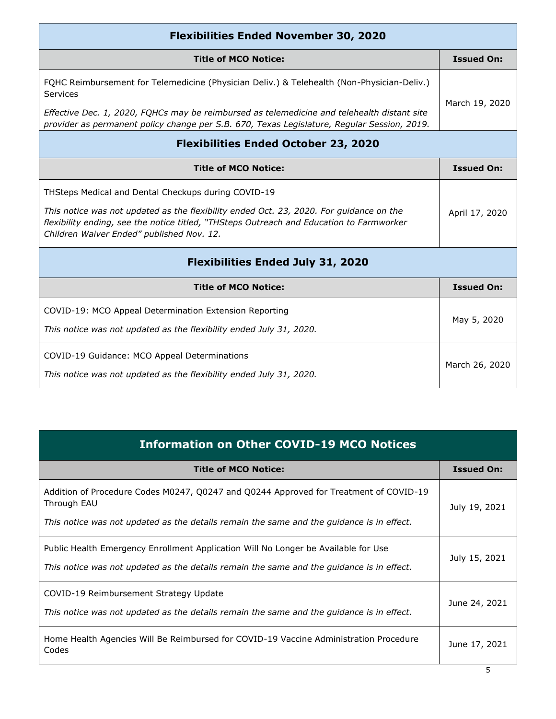| <b>Flexibilities Ended November 30, 2020</b>                                                                                                                                                                                     |                   |  |
|----------------------------------------------------------------------------------------------------------------------------------------------------------------------------------------------------------------------------------|-------------------|--|
| <b>Title of MCO Notice:</b>                                                                                                                                                                                                      | <b>Issued On:</b> |  |
| FQHC Reimbursement for Telemedicine (Physician Deliv.) & Telehealth (Non-Physician-Deliv.)<br>Services                                                                                                                           | March 19, 2020    |  |
| Effective Dec. 1, 2020, FQHCs may be reimbursed as telemedicine and telehealth distant site<br>provider as permanent policy change per S.B. 670, Texas Legislature, Regular Session, 2019.                                       |                   |  |
| <b>Flexibilities Ended October 23, 2020</b>                                                                                                                                                                                      |                   |  |
| <b>Title of MCO Notice:</b>                                                                                                                                                                                                      | <b>Issued On:</b> |  |
| THSteps Medical and Dental Checkups during COVID-19                                                                                                                                                                              |                   |  |
| This notice was not updated as the flexibility ended Oct. 23, 2020. For guidance on the<br>flexibility ending, see the notice titled, "THSteps Outreach and Education to Farmworker<br>Children Waiver Ended" published Nov. 12. | April 17, 2020    |  |
| <b>Flexibilities Ended July 31, 2020</b>                                                                                                                                                                                         |                   |  |
| <b>Title of MCO Notice:</b>                                                                                                                                                                                                      | <b>Issued On:</b> |  |
| COVID-19: MCO Appeal Determination Extension Reporting                                                                                                                                                                           |                   |  |
| This notice was not updated as the flexibility ended July 31, 2020.                                                                                                                                                              | May 5, 2020       |  |
| COVID-19 Guidance: MCO Appeal Determinations<br>This notice was not updated as the flexibility ended July 31, 2020.                                                                                                              | March 26, 2020    |  |

| <b>Information on Other COVID-19 MCO Notices</b> |
|--------------------------------------------------|
|                                                  |

| <b>Title of MCO Notice:</b>                                                                                                                                                                       | <b>Issued On:</b> |
|---------------------------------------------------------------------------------------------------------------------------------------------------------------------------------------------------|-------------------|
| Addition of Procedure Codes M0247, Q0247 and Q0244 Approved for Treatment of COVID-19<br>Through EAU<br>This notice was not updated as the details remain the same and the guidance is in effect. | July 19, 2021     |
| Public Health Emergency Enrollment Application Will No Longer be Available for Use<br>This notice was not updated as the details remain the same and the guidance is in effect.                   | July 15, 2021     |
| COVID-19 Reimbursement Strategy Update<br>This notice was not updated as the details remain the same and the guidance is in effect.                                                               | June 24, 2021     |
| Home Health Agencies Will Be Reimbursed for COVID-19 Vaccine Administration Procedure<br>Codes                                                                                                    | June 17, 2021     |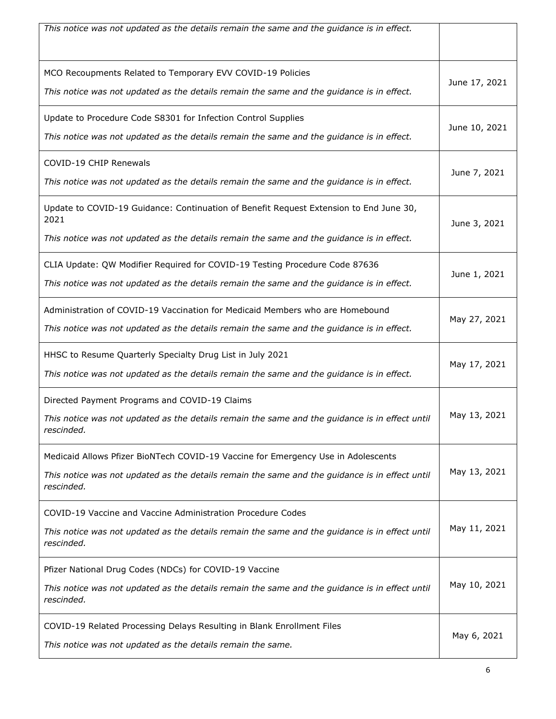| This notice was not updated as the details remain the same and the guidance is in effect.                                                                                                         |               |
|---------------------------------------------------------------------------------------------------------------------------------------------------------------------------------------------------|---------------|
| MCO Recoupments Related to Temporary EVV COVID-19 Policies<br>This notice was not updated as the details remain the same and the guidance is in effect.                                           | June 17, 2021 |
| Update to Procedure Code S8301 for Infection Control Supplies<br>This notice was not updated as the details remain the same and the guidance is in effect.                                        | June 10, 2021 |
| COVID-19 CHIP Renewals<br>This notice was not updated as the details remain the same and the guidance is in effect.                                                                               | June 7, 2021  |
| Update to COVID-19 Guidance: Continuation of Benefit Request Extension to End June 30,<br>2021<br>This notice was not updated as the details remain the same and the guidance is in effect.       | June 3, 2021  |
| CLIA Update: QW Modifier Required for COVID-19 Testing Procedure Code 87636<br>This notice was not updated as the details remain the same and the guidance is in effect.                          | June 1, 2021  |
| Administration of COVID-19 Vaccination for Medicaid Members who are Homebound<br>This notice was not updated as the details remain the same and the guidance is in effect.                        | May 27, 2021  |
| HHSC to Resume Quarterly Specialty Drug List in July 2021<br>This notice was not updated as the details remain the same and the guidance is in effect.                                            | May 17, 2021  |
| Directed Payment Programs and COVID-19 Claims<br>This notice was not updated as the details remain the same and the guidance is in effect until<br>rescinded.                                     | May 13, 2021  |
| Medicaid Allows Pfizer BioNTech COVID-19 Vaccine for Emergency Use in Adolescents<br>This notice was not updated as the details remain the same and the guidance is in effect until<br>rescinded. | May 13, 2021  |
| COVID-19 Vaccine and Vaccine Administration Procedure Codes<br>This notice was not updated as the details remain the same and the guidance is in effect until<br>rescinded.                       | May 11, 2021  |
| Pfizer National Drug Codes (NDCs) for COVID-19 Vaccine<br>This notice was not updated as the details remain the same and the guidance is in effect until<br>rescinded.                            | May 10, 2021  |
| COVID-19 Related Processing Delays Resulting in Blank Enrollment Files<br>This notice was not updated as the details remain the same.                                                             | May 6, 2021   |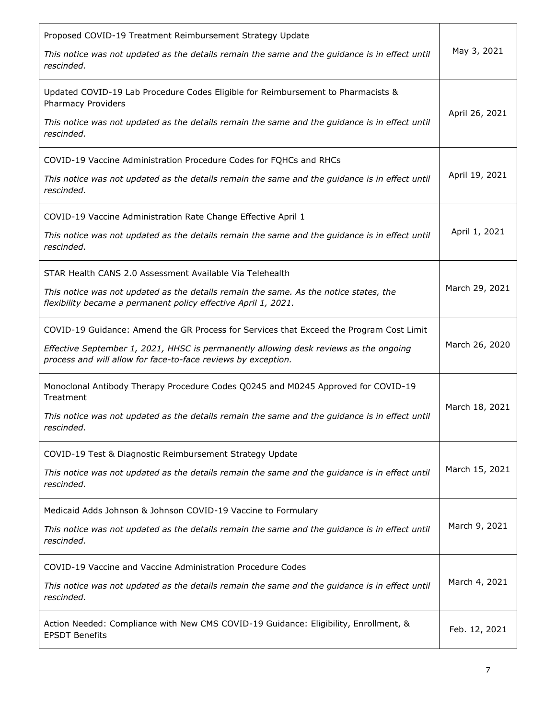| Proposed COVID-19 Treatment Reimbursement Strategy Update<br>This notice was not updated as the details remain the same and the guidance is in effect until<br>rescinded.                                                                         | May 3, 2021    |
|---------------------------------------------------------------------------------------------------------------------------------------------------------------------------------------------------------------------------------------------------|----------------|
| Updated COVID-19 Lab Procedure Codes Eligible for Reimbursement to Pharmacists &<br><b>Pharmacy Providers</b><br>This notice was not updated as the details remain the same and the guidance is in effect until<br>rescinded.                     | April 26, 2021 |
| COVID-19 Vaccine Administration Procedure Codes for FQHCs and RHCs<br>This notice was not updated as the details remain the same and the guidance is in effect until<br>rescinded.                                                                | April 19, 2021 |
| COVID-19 Vaccine Administration Rate Change Effective April 1<br>This notice was not updated as the details remain the same and the guidance is in effect until<br>rescinded.                                                                     | April 1, 2021  |
| STAR Health CANS 2.0 Assessment Available Via Telehealth<br>This notice was not updated as the details remain the same. As the notice states, the<br>flexibility became a permanent policy effective April 1, 2021.                               | March 29, 2021 |
| COVID-19 Guidance: Amend the GR Process for Services that Exceed the Program Cost Limit<br>Effective September 1, 2021, HHSC is permanently allowing desk reviews as the ongoing<br>process and will allow for face-to-face reviews by exception. | March 26, 2020 |
| Monoclonal Antibody Therapy Procedure Codes Q0245 and M0245 Approved for COVID-19<br>Treatment<br>This notice was not updated as the details remain the same and the guidance is in effect until<br>rescinded.                                    | March 18, 2021 |
| COVID-19 Test & Diagnostic Reimbursement Strategy Update<br>This notice was not updated as the details remain the same and the guidance is in effect until<br>rescinded.                                                                          | March 15, 2021 |
| Medicaid Adds Johnson & Johnson COVID-19 Vaccine to Formulary<br>This notice was not updated as the details remain the same and the guidance is in effect until<br>rescinded.                                                                     | March 9, 2021  |
| COVID-19 Vaccine and Vaccine Administration Procedure Codes<br>This notice was not updated as the details remain the same and the guidance is in effect until<br>rescinded.                                                                       | March 4, 2021  |
| Action Needed: Compliance with New CMS COVID-19 Guidance: Eligibility, Enrollment, &<br><b>EPSDT Benefits</b>                                                                                                                                     | Feb. 12, 2021  |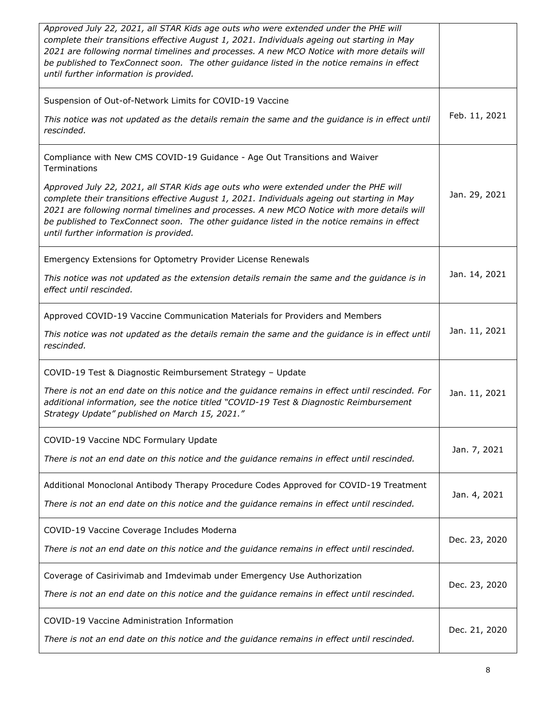| Approved July 22, 2021, all STAR Kids age outs who were extended under the PHE will<br>complete their transitions effective August 1, 2021. Individuals ageing out starting in May<br>2021 are following normal timelines and processes. A new MCO Notice with more details will<br>be published to TexConnect soon. The other guidance listed in the notice remains in effect<br>until further information is provided.                                                                                               |               |
|------------------------------------------------------------------------------------------------------------------------------------------------------------------------------------------------------------------------------------------------------------------------------------------------------------------------------------------------------------------------------------------------------------------------------------------------------------------------------------------------------------------------|---------------|
| Suspension of Out-of-Network Limits for COVID-19 Vaccine<br>This notice was not updated as the details remain the same and the guidance is in effect until<br>rescinded.                                                                                                                                                                                                                                                                                                                                               | Feb. 11, 2021 |
| Compliance with New CMS COVID-19 Guidance - Age Out Transitions and Waiver<br>Terminations<br>Approved July 22, 2021, all STAR Kids age outs who were extended under the PHE will<br>complete their transitions effective August 1, 2021. Individuals ageing out starting in May<br>2021 are following normal timelines and processes. A new MCO Notice with more details will<br>be published to TexConnect soon. The other guidance listed in the notice remains in effect<br>until further information is provided. | Jan. 29, 2021 |
| Emergency Extensions for Optometry Provider License Renewals<br>This notice was not updated as the extension details remain the same and the guidance is in<br>effect until rescinded.                                                                                                                                                                                                                                                                                                                                 | Jan. 14, 2021 |
| Approved COVID-19 Vaccine Communication Materials for Providers and Members<br>This notice was not updated as the details remain the same and the guidance is in effect until<br>rescinded.                                                                                                                                                                                                                                                                                                                            | Jan. 11, 2021 |
| COVID-19 Test & Diagnostic Reimbursement Strategy - Update<br>There is not an end date on this notice and the guidance remains in effect until rescinded. For<br>additional information, see the notice titled "COVID-19 Test & Diagnostic Reimbursement<br>Strategy Update" published on March 15, 2021."                                                                                                                                                                                                             | Jan. 11, 2021 |
| COVID-19 Vaccine NDC Formulary Update<br>There is not an end date on this notice and the guidance remains in effect until rescinded.                                                                                                                                                                                                                                                                                                                                                                                   | Jan. 7, 2021  |
| Additional Monoclonal Antibody Therapy Procedure Codes Approved for COVID-19 Treatment<br>There is not an end date on this notice and the guidance remains in effect until rescinded.                                                                                                                                                                                                                                                                                                                                  | Jan. 4, 2021  |
| COVID-19 Vaccine Coverage Includes Moderna<br>There is not an end date on this notice and the guidance remains in effect until rescinded.                                                                                                                                                                                                                                                                                                                                                                              | Dec. 23, 2020 |
| Coverage of Casirivimab and Imdevimab under Emergency Use Authorization<br>There is not an end date on this notice and the guidance remains in effect until rescinded.                                                                                                                                                                                                                                                                                                                                                 | Dec. 23, 2020 |
| COVID-19 Vaccine Administration Information<br>There is not an end date on this notice and the guidance remains in effect until rescinded.                                                                                                                                                                                                                                                                                                                                                                             | Dec. 21, 2020 |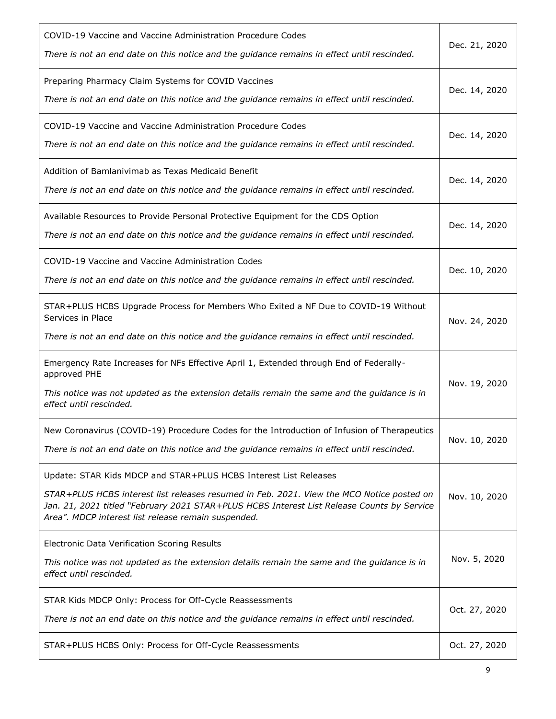| COVID-19 Vaccine and Vaccine Administration Procedure Codes<br>There is not an end date on this notice and the guidance remains in effect until rescinded.                                                                                                                                                         | Dec. 21, 2020 |
|--------------------------------------------------------------------------------------------------------------------------------------------------------------------------------------------------------------------------------------------------------------------------------------------------------------------|---------------|
| Preparing Pharmacy Claim Systems for COVID Vaccines<br>There is not an end date on this notice and the guidance remains in effect until rescinded.                                                                                                                                                                 | Dec. 14, 2020 |
| COVID-19 Vaccine and Vaccine Administration Procedure Codes<br>There is not an end date on this notice and the guidance remains in effect until rescinded.                                                                                                                                                         | Dec. 14, 2020 |
| Addition of Bamlanivimab as Texas Medicaid Benefit<br>There is not an end date on this notice and the guidance remains in effect until rescinded.                                                                                                                                                                  | Dec. 14, 2020 |
| Available Resources to Provide Personal Protective Equipment for the CDS Option<br>There is not an end date on this notice and the guidance remains in effect until rescinded.                                                                                                                                     | Dec. 14, 2020 |
| COVID-19 Vaccine and Vaccine Administration Codes<br>There is not an end date on this notice and the guidance remains in effect until rescinded.                                                                                                                                                                   | Dec. 10, 2020 |
| STAR+PLUS HCBS Upgrade Process for Members Who Exited a NF Due to COVID-19 Without<br>Services in Place<br>There is not an end date on this notice and the guidance remains in effect until rescinded.                                                                                                             | Nov. 24, 2020 |
| Emergency Rate Increases for NFs Effective April 1, Extended through End of Federally-<br>approved PHE<br>This notice was not updated as the extension details remain the same and the guidance is in<br>effect until rescinded.                                                                                   | Nov. 19, 2020 |
| New Coronavirus (COVID-19) Procedure Codes for the Introduction of Infusion of Therapeutics<br>There is not an end date on this notice and the guidance remains in effect until rescinded.                                                                                                                         | Nov. 10, 2020 |
| Update: STAR Kids MDCP and STAR+PLUS HCBS Interest List Releases<br>STAR+PLUS HCBS interest list releases resumed in Feb. 2021. View the MCO Notice posted on<br>Jan. 21, 2021 titled "February 2021 STAR+PLUS HCBS Interest List Release Counts by Service<br>Area". MDCP interest list release remain suspended. | Nov. 10, 2020 |
| Electronic Data Verification Scoring Results<br>This notice was not updated as the extension details remain the same and the guidance is in<br>effect until rescinded.                                                                                                                                             | Nov. 5, 2020  |
| STAR Kids MDCP Only: Process for Off-Cycle Reassessments<br>There is not an end date on this notice and the guidance remains in effect until rescinded.                                                                                                                                                            | Oct. 27, 2020 |
| STAR+PLUS HCBS Only: Process for Off-Cycle Reassessments                                                                                                                                                                                                                                                           | Oct. 27, 2020 |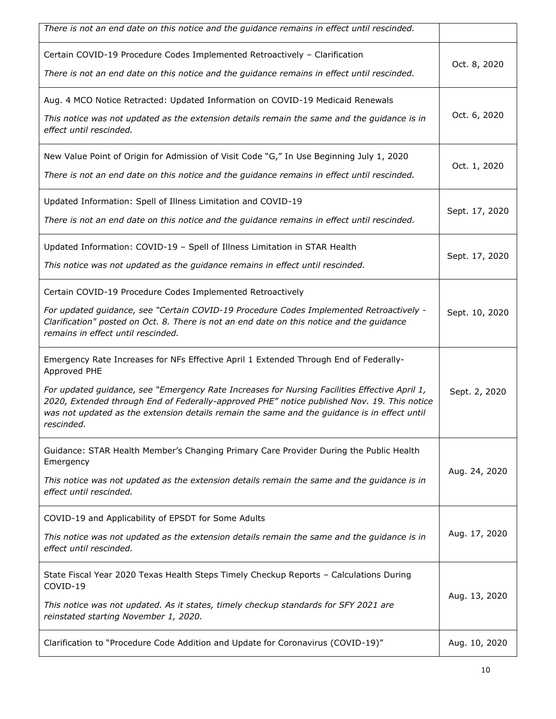| There is not an end date on this notice and the guidance remains in effect until rescinded.                                                                                                                                                                                                                                                                                                                         |                |
|---------------------------------------------------------------------------------------------------------------------------------------------------------------------------------------------------------------------------------------------------------------------------------------------------------------------------------------------------------------------------------------------------------------------|----------------|
| Certain COVID-19 Procedure Codes Implemented Retroactively - Clarification<br>There is not an end date on this notice and the guidance remains in effect until rescinded.                                                                                                                                                                                                                                           | Oct. 8, 2020   |
| Aug. 4 MCO Notice Retracted: Updated Information on COVID-19 Medicaid Renewals<br>This notice was not updated as the extension details remain the same and the guidance is in<br>effect until rescinded.                                                                                                                                                                                                            | Oct. 6, 2020   |
| New Value Point of Origin for Admission of Visit Code "G," In Use Beginning July 1, 2020<br>There is not an end date on this notice and the guidance remains in effect until rescinded.                                                                                                                                                                                                                             | Oct. 1, 2020   |
| Updated Information: Spell of Illness Limitation and COVID-19<br>There is not an end date on this notice and the guidance remains in effect until rescinded.                                                                                                                                                                                                                                                        | Sept. 17, 2020 |
| Updated Information: COVID-19 - Spell of Illness Limitation in STAR Health<br>This notice was not updated as the guidance remains in effect until rescinded.                                                                                                                                                                                                                                                        | Sept. 17, 2020 |
| Certain COVID-19 Procedure Codes Implemented Retroactively<br>For updated guidance, see "Certain COVID-19 Procedure Codes Implemented Retroactively -<br>Clarification" posted on Oct. 8. There is not an end date on this notice and the guidance<br>remains in effect until rescinded.                                                                                                                            | Sept. 10, 2020 |
| Emergency Rate Increases for NFs Effective April 1 Extended Through End of Federally-<br>Approved PHE<br>For updated guidance, see "Emergency Rate Increases for Nursing Facilities Effective April 1,<br>2020, Extended through End of Federally-approved PHE" notice published Nov. 19. This notice<br>was not updated as the extension details remain the same and the guidance is in effect until<br>rescinded. | Sept. 2, 2020  |
| Guidance: STAR Health Member's Changing Primary Care Provider During the Public Health<br>Emergency<br>This notice was not updated as the extension details remain the same and the guidance is in<br>effect until rescinded.                                                                                                                                                                                       | Aug. 24, 2020  |
| COVID-19 and Applicability of EPSDT for Some Adults<br>This notice was not updated as the extension details remain the same and the guidance is in<br>effect until rescinded.                                                                                                                                                                                                                                       | Aug. 17, 2020  |
| State Fiscal Year 2020 Texas Health Steps Timely Checkup Reports - Calculations During<br>COVID-19<br>This notice was not updated. As it states, timely checkup standards for SFY 2021 are<br>reinstated starting November 1, 2020.                                                                                                                                                                                 | Aug. 13, 2020  |
| Clarification to "Procedure Code Addition and Update for Coronavirus (COVID-19)"                                                                                                                                                                                                                                                                                                                                    | Aug. 10, 2020  |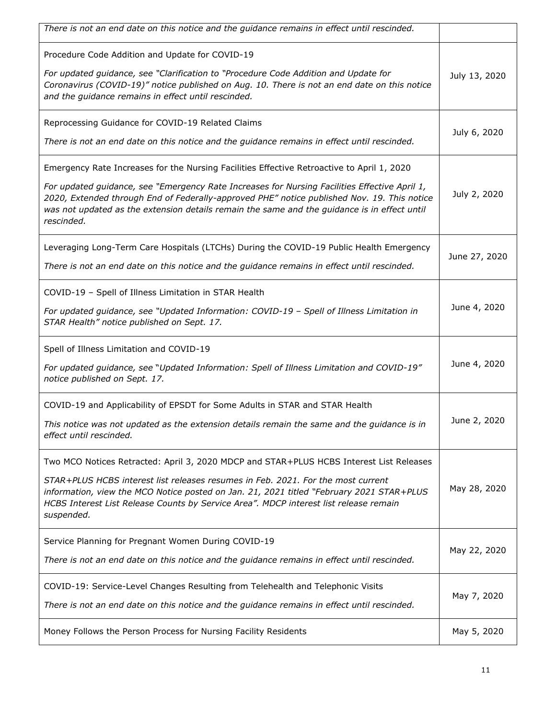| There is not an end date on this notice and the guidance remains in effect until rescinded.                                                                                                                                                                                                                                                                                                              |               |
|----------------------------------------------------------------------------------------------------------------------------------------------------------------------------------------------------------------------------------------------------------------------------------------------------------------------------------------------------------------------------------------------------------|---------------|
| Procedure Code Addition and Update for COVID-19<br>For updated guidance, see "Clarification to "Procedure Code Addition and Update for<br>Coronavirus (COVID-19)" notice published on Aug. 10. There is not an end date on this notice<br>and the guidance remains in effect until rescinded.                                                                                                            | July 13, 2020 |
| Reprocessing Guidance for COVID-19 Related Claims<br>There is not an end date on this notice and the guidance remains in effect until rescinded.                                                                                                                                                                                                                                                         | July 6, 2020  |
| Emergency Rate Increases for the Nursing Facilities Effective Retroactive to April 1, 2020<br>For updated guidance, see "Emergency Rate Increases for Nursing Facilities Effective April 1,<br>2020, Extended through End of Federally-approved PHE" notice published Nov. 19. This notice<br>was not updated as the extension details remain the same and the guidance is in effect until<br>rescinded. | July 2, 2020  |
| Leveraging Long-Term Care Hospitals (LTCHs) During the COVID-19 Public Health Emergency<br>There is not an end date on this notice and the guidance remains in effect until rescinded.                                                                                                                                                                                                                   | June 27, 2020 |
| COVID-19 - Spell of Illness Limitation in STAR Health<br>For updated guidance, see "Updated Information: COVID-19 - Spell of Illness Limitation in<br>STAR Health" notice published on Sept. 17.                                                                                                                                                                                                         | June 4, 2020  |
| Spell of Illness Limitation and COVID-19<br>For updated guidance, see "Updated Information: Spell of Illness Limitation and COVID-19"<br>notice published on Sept. 17.                                                                                                                                                                                                                                   | June 4, 2020  |
| COVID-19 and Applicability of EPSDT for Some Adults in STAR and STAR Health<br>This notice was not updated as the extension details remain the same and the guidance is in<br>effect until rescinded.                                                                                                                                                                                                    | June 2, 2020  |
| Two MCO Notices Retracted: April 3, 2020 MDCP and STAR+PLUS HCBS Interest List Releases<br>STAR+PLUS HCBS interest list releases resumes in Feb. 2021. For the most current<br>information, view the MCO Notice posted on Jan. 21, 2021 titled "February 2021 STAR+PLUS<br>HCBS Interest List Release Counts by Service Area". MDCP interest list release remain<br>suspended.                           | May 28, 2020  |
| Service Planning for Pregnant Women During COVID-19<br>There is not an end date on this notice and the guidance remains in effect until rescinded.                                                                                                                                                                                                                                                       | May 22, 2020  |
| COVID-19: Service-Level Changes Resulting from Telehealth and Telephonic Visits<br>There is not an end date on this notice and the guidance remains in effect until rescinded.                                                                                                                                                                                                                           | May 7, 2020   |
| Money Follows the Person Process for Nursing Facility Residents                                                                                                                                                                                                                                                                                                                                          | May 5, 2020   |